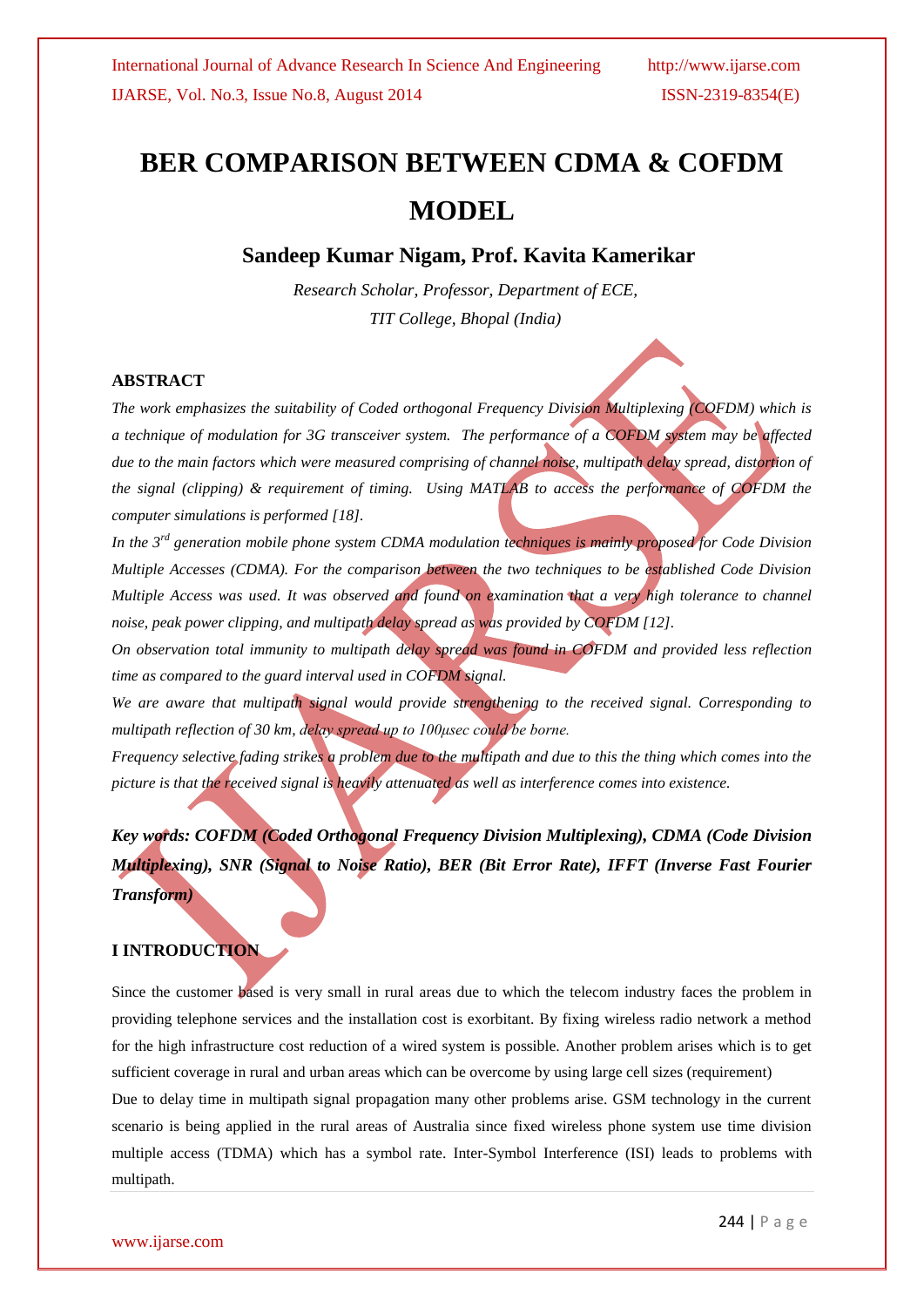# **BER COMPARISON BETWEEN CDMA & COFDM MODEL**

# **Sandeep Kumar Nigam, Prof. Kavita Kamerikar**

*Research Scholar, Professor, Department of ECE, TIT College, Bhopal (India)*

### **ABSTRACT**

*The work emphasizes the suitability of Coded orthogonal Frequency Division Multiplexing (COFDM) which is a technique of modulation for 3G transceiver system. The performance of a COFDM system may be affected due to the main factors which were measured comprising of channel noise, multipath delay spread, distortion of the signal (clipping) & requirement of timing. Using MATLAB to access the performance of COFDM the computer simulations is performed [18].* 

*In the 3rd generation mobile phone system CDMA modulation techniques is mainly proposed for Code Division Multiple Accesses (CDMA). For the comparison between the two techniques to be established Code Division Multiple Access was used. It was observed and found on examination that a very high tolerance to channel noise, peak power clipping, and multipath delay spread as was provided by COFDM [12].*

*On observation total immunity to multipath delay spread was found in COFDM and provided less reflection time as compared to the guard interval used in COFDM signal.*

*We are aware that multipath signal would provide strengthening to the received signal. Corresponding to multipath reflection of 30 km, delay spread up to 100μsec could be borne.*

*Frequency selective fading strikes a problem due to the multipath and due to this the thing which comes into the picture is that the received signal is heavily attenuated as well as interference comes into existence.* 

*Key words: COFDM (Coded Orthogonal Frequency Division Multiplexing), CDMA (Code Division Multiplexing), SNR (Signal to Noise Ratio), BER (Bit Error Rate), IFFT (Inverse Fast Fourier Transform)*

#### **I INTRODUCTION**

Since the customer based is very small in rural areas due to which the telecom industry faces the problem in providing telephone services and the installation cost is exorbitant. By fixing wireless radio network a method for the high infrastructure cost reduction of a wired system is possible. Another problem arises which is to get sufficient coverage in rural and urban areas which can be overcome by using large cell sizes (requirement) Due to delay time in multipath signal propagation many other problems arise. GSM technology in the current scenario is being applied in the rural areas of Australia since fixed wireless phone system use time division multiple access (TDMA) which has a symbol rate. Inter-Symbol Interference (ISI) leads to problems with multipath.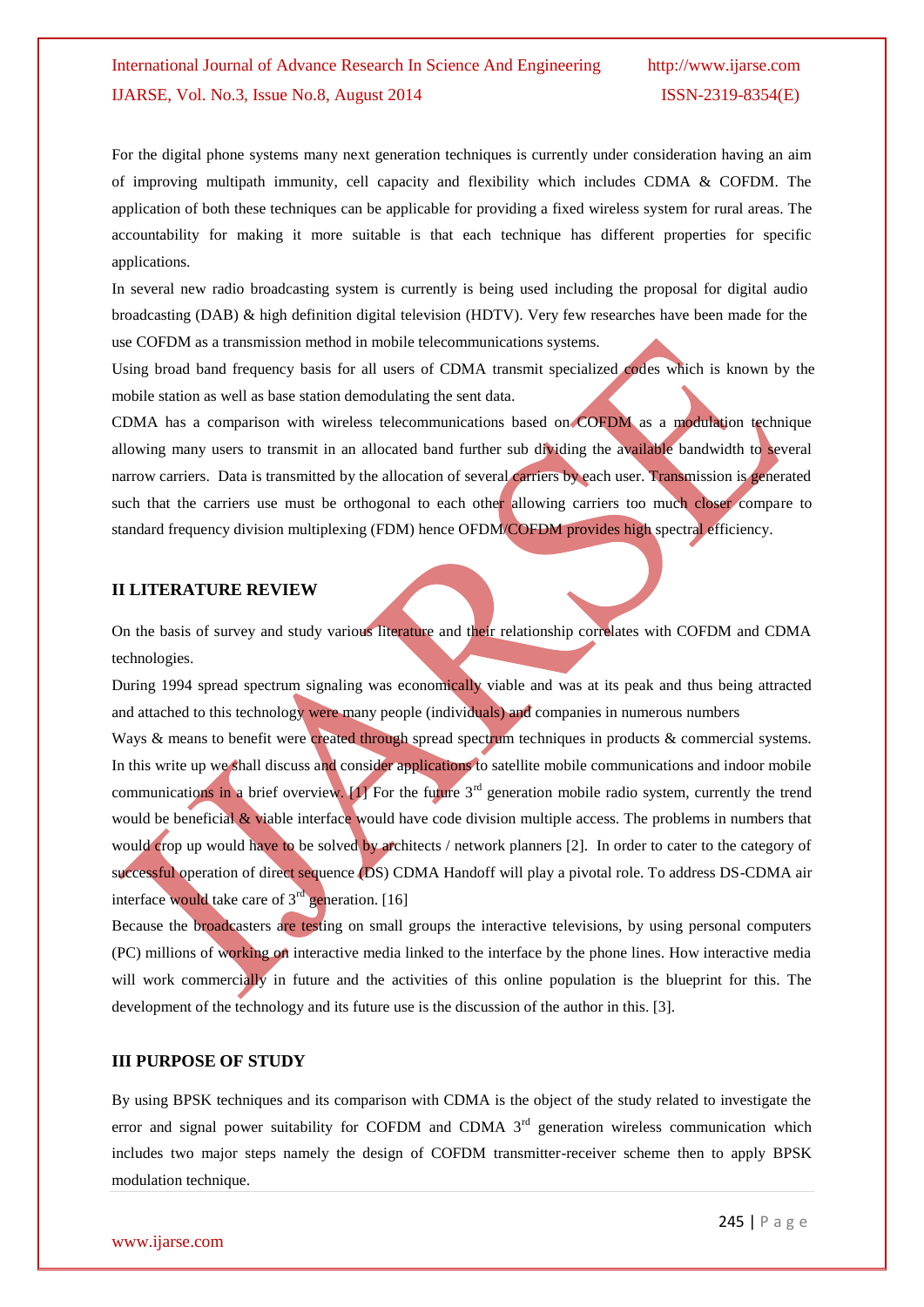# International Journal of Advance Research In Science And Engineering http://www.ijarse.com IJARSE, Vol. No.3, Issue No.8, August 2014 ISSN-2319-8354(E)

For the digital phone systems many next generation techniques is currently under consideration having an aim of improving multipath immunity, cell capacity and flexibility which includes CDMA & COFDM. The application of both these techniques can be applicable for providing a fixed wireless system for rural areas. The accountability for making it more suitable is that each technique has different properties for specific applications.

In several new radio broadcasting system is currently is being used including the proposal for digital audio broadcasting (DAB) & high definition digital television (HDTV). Very few researches have been made for the use COFDM as a transmission method in mobile telecommunications systems.

Using broad band frequency basis for all users of CDMA transmit specialized codes which is known by the mobile station as well as base station demodulating the sent data.

CDMA has a comparison with wireless telecommunications based on COFDM as a modulation technique allowing many users to transmit in an allocated band further sub dividing the available bandwidth to several narrow carriers. Data is transmitted by the allocation of several carriers by each user. Transmission is generated such that the carriers use must be orthogonal to each other allowing carriers too much closer compare to standard frequency division multiplexing (FDM) hence OFDM/COFDM provides high spectral efficiency.

#### **II LITERATURE REVIEW**

On the basis of survey and study various literature and their relationship correlates with COFDM and CDMA technologies.

During 1994 spread spectrum signaling was economically viable and was at its peak and thus being attracted and attached to this technology were many people (individuals) and companies in numerous numbers

Ways & means to benefit were created through spread spectrum techniques in products & commercial systems. In this write up we shall discuss and consider applications to satellite mobile communications and indoor mobile communications in a brief overview.  $[1]$  For the future  $3<sup>rd</sup>$  generation mobile radio system, currently the trend would be beneficial & viable interface would have code division multiple access. The problems in numbers that would crop up would have to be solved by architects / network planners [2]. In order to cater to the category of successful operation of direct sequence (DS) CDMA Handoff will play a pivotal role. To address DS-CDMA air interface would take care of  $3<sup>rd</sup>$  generation. [16]

Because the broadcasters are testing on small groups the interactive televisions, by using personal computers (PC) millions of working on interactive media linked to the interface by the phone lines. How interactive media will work commercially in future and the activities of this online population is the blueprint for this. The development of the technology and its future use is the discussion of the author in this. [3].

#### **III PURPOSE OF STUDY**

By using BPSK techniques and its comparison with CDMA is the object of the study related to investigate the error and signal power suitability for COFDM and CDMA 3<sup>rd</sup> generation wireless communication which includes two major steps namely the design of COFDM transmitter-receiver scheme then to apply BPSK modulation technique.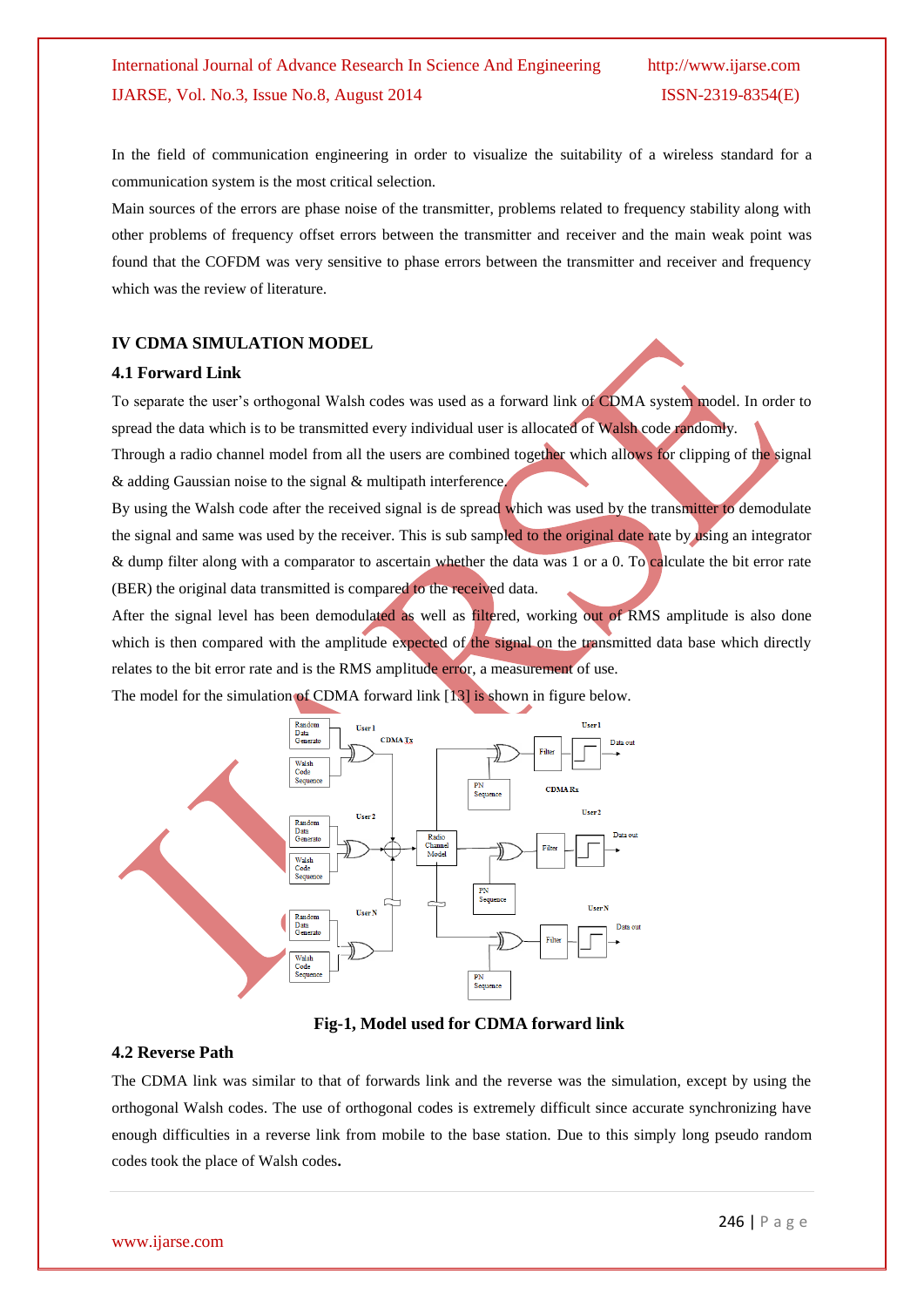In the field of communication engineering in order to visualize the suitability of a wireless standard for a communication system is the most critical selection.

Main sources of the errors are phase noise of the transmitter, problems related to frequency stability along with other problems of frequency offset errors between the transmitter and receiver and the main weak point was found that the COFDM was very sensitive to phase errors between the transmitter and receiver and frequency which was the review of literature.

#### **IV CDMA SIMULATION MODEL**

#### **4.1 Forward Link**

To separate the user's orthogonal Walsh codes was used as a forward link of CDMA system model. In order to spread the data which is to be transmitted every individual user is allocated of Walsh code randomly.

Through a radio channel model from all the users are combined together which allows for clipping of the signal & adding Gaussian noise to the signal & multipath interference.

By using the Walsh code after the received signal is de spread which was used by the transmitter to demodulate the signal and same was used by the receiver. This is sub sampled to the original date rate by using an integrator & dump filter along with a comparator to ascertain whether the data was 1 or a 0. To calculate the bit error rate (BER) the original data transmitted is compared to the received data.

After the signal level has been demodulated as well as filtered, working out of RMS amplitude is also done which is then compared with the amplitude expected of the signal on the transmitted data base which directly relates to the bit error rate and is the RMS amplitude error, a measurement of use.

The model for the simulation of CDMA forward link [13] is shown in figure below.



**Fig-1, Model used for CDMA forward link**

#### **4.2 Reverse Path**

The CDMA link was similar to that of forwards link and the reverse was the simulation, except by using the orthogonal Walsh codes. The use of orthogonal codes is extremely difficult since accurate synchronizing have enough difficulties in a reverse link from mobile to the base station. Due to this simply long pseudo random codes took the place of Walsh codes**.**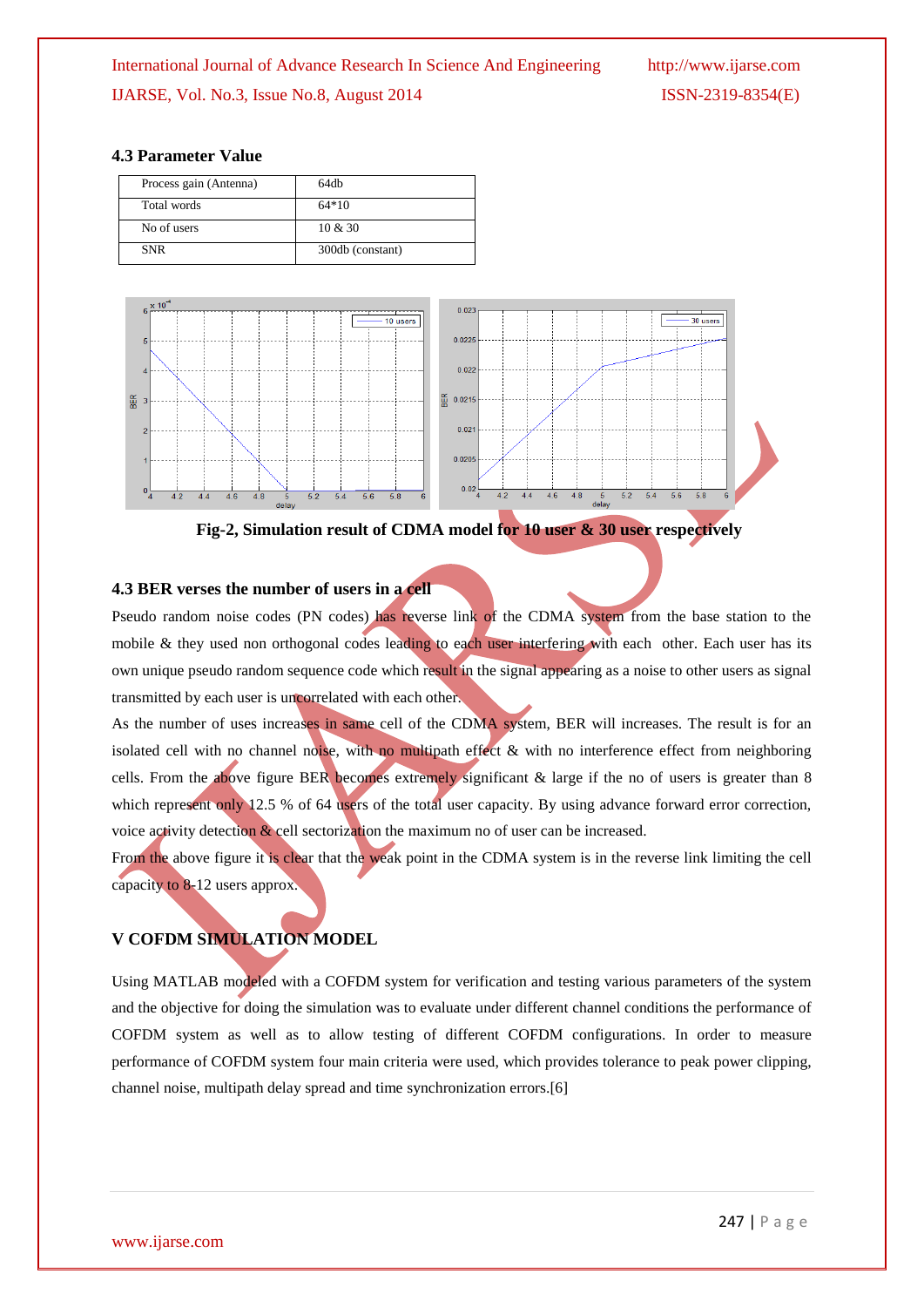#### **4.3 Parameter Value**

| Process gain (Antenna) | 64db             |
|------------------------|------------------|
| Total words            | $64*10$          |
| No of users            | $10 \& 30$       |
| <b>SNR</b>             | 300db (constant) |



**Fig-2, Simulation result of CDMA model for 10 user & 30 user respectively**

#### **4.3 BER verses the number of users in a cell**

Pseudo random noise codes (PN codes) has reverse link of the CDMA system from the base station to the mobile & they used non orthogonal codes leading to each user interfering with each other. Each user has its own unique pseudo random sequence code which result in the signal appearing as a noise to other users as signal transmitted by each user is uncorrelated with each other.

As the number of uses increases in same cell of the CDMA system, BER will increases. The result is for an isolated cell with no channel noise, with no multipath effect & with no interference effect from neighboring cells. From the above figure BER becomes extremely significant  $\&$  large if the no of users is greater than 8 which represent only 12.5 % of 64 users of the total user capacity. By using advance forward error correction, voice activity detection  $\&$  cell sectorization the maximum no of user can be increased.

From the above figure it is clear that the weak point in the CDMA system is in the reverse link limiting the cell capacity to 8-12 users approx.

# **V COFDM SIMULATION MODEL**

Using MATLAB modeled with a COFDM system for verification and testing various parameters of the system and the objective for doing the simulation was to evaluate under different channel conditions the performance of COFDM system as well as to allow testing of different COFDM configurations. In order to measure performance of COFDM system four main criteria were used, which provides tolerance to peak power clipping, channel noise, multipath delay spread and time synchronization errors.[6]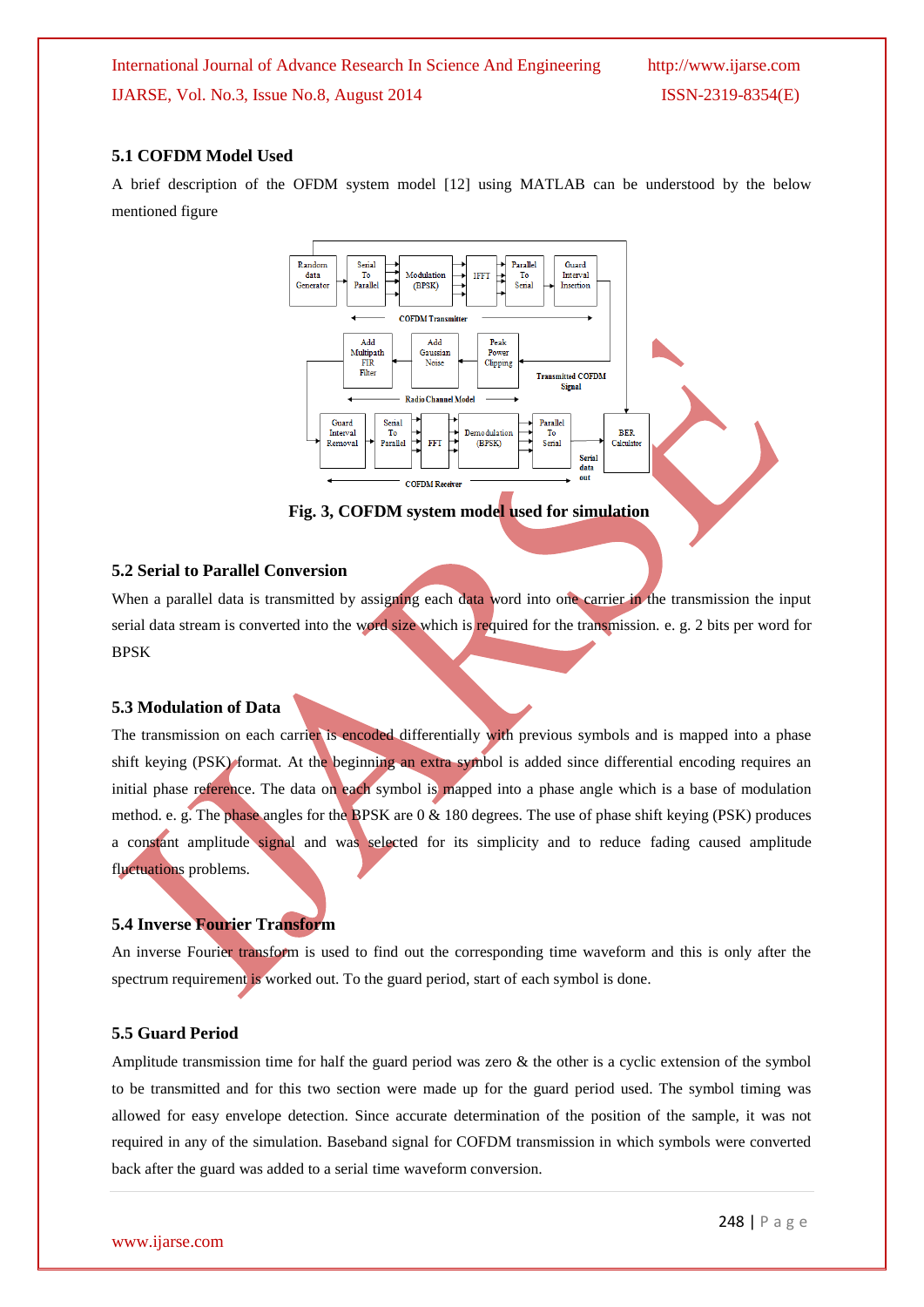#### **5.1 COFDM Model Used**

A brief description of the OFDM system model [12] using MATLAB can be understood by the below mentioned figure



**Fig. 3, COFDM system model used for simulation**

#### **5.2 Serial to Parallel Conversion**

When a parallel data is transmitted by assigning each data word into one carrier in the transmission the input serial data stream is converted into the word size which is required for the transmission. e. g. 2 bits per word for BPSK

#### **5.3 Modulation of Data**

The transmission on each carrier is encoded differentially with previous symbols and is mapped into a phase shift keying (PSK) format. At the beginning an extra symbol is added since differential encoding requires an initial phase reference. The data on each symbol is mapped into a phase angle which is a base of modulation method. e. g. The phase angles for the BPSK are 0 & 180 degrees. The use of phase shift keying (PSK) produces a constant amplitude signal and was selected for its simplicity and to reduce fading caused amplitude fluctuations problems.

#### **5.4 Inverse Fourier Transform**

An inverse Fourier transform is used to find out the corresponding time waveform and this is only after the spectrum requirement is worked out. To the guard period, start of each symbol is done.

#### **5.5 Guard Period**

Amplitude transmission time for half the guard period was zero & the other is a cyclic extension of the symbol to be transmitted and for this two section were made up for the guard period used. The symbol timing was allowed for easy envelope detection. Since accurate determination of the position of the sample, it was not required in any of the simulation. Baseband signal for COFDM transmission in which symbols were converted back after the guard was added to a serial time waveform conversion.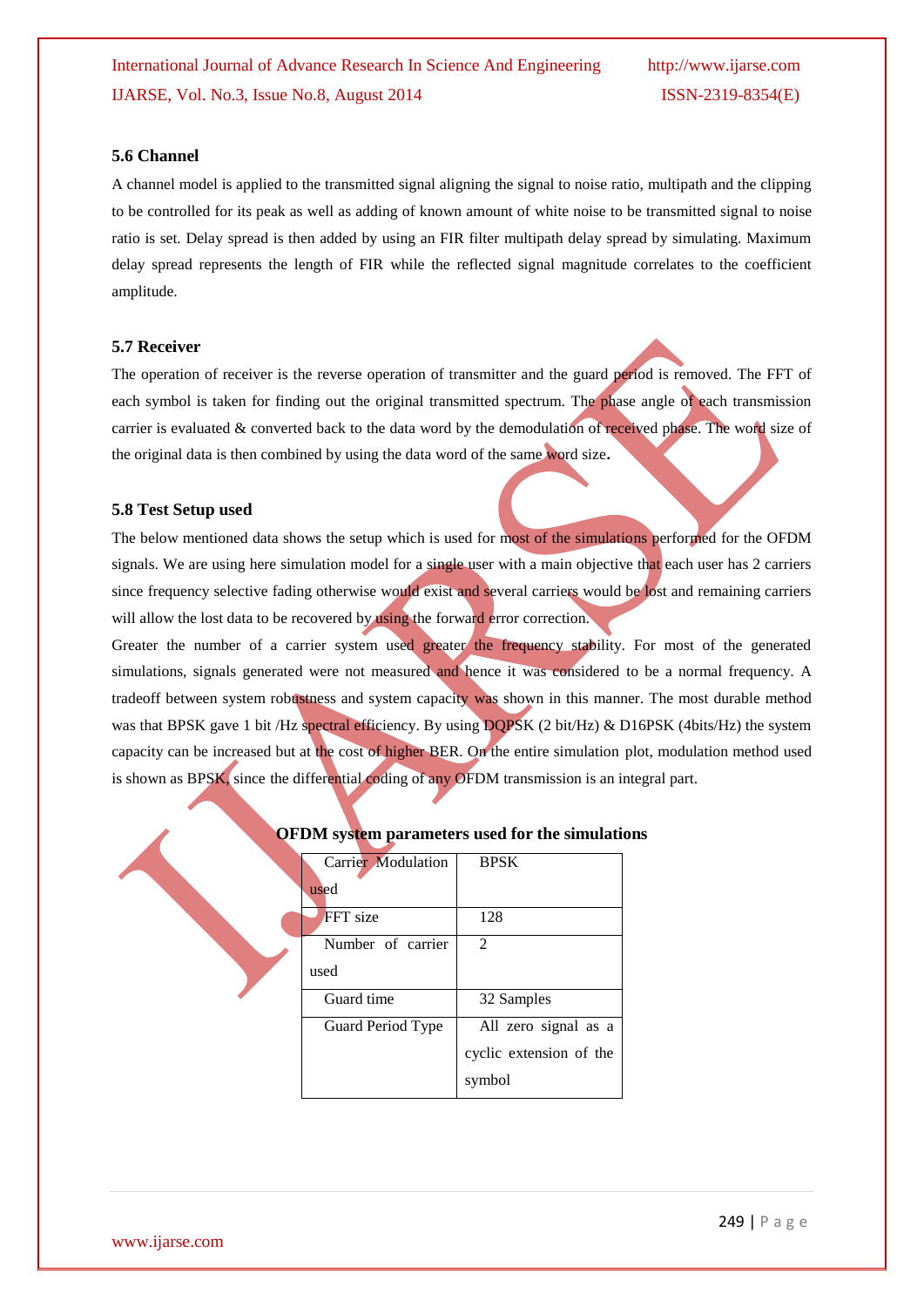#### **5.6 Channel**

A channel model is applied to the transmitted signal aligning the signal to noise ratio, multipath and the clipping to be controlled for its peak as well as adding of known amount of white noise to be transmitted signal to noise ratio is set. Delay spread is then added by using an FIR filter multipath delay spread by simulating. Maximum delay spread represents the length of FIR while the reflected signal magnitude correlates to the coefficient amplitude.

#### **5.7 Receiver**

The operation of receiver is the reverse operation of transmitter and the guard period is removed. The FFT of each symbol is taken for finding out the original transmitted spectrum. The phase angle of each transmission carrier is evaluated & converted back to the data word by the demodulation of received phase. The word size of the original data is then combined by using the data word of the same word size**.**

#### **5.8 Test Setup used**

The below mentioned data shows the setup which is used for most of the simulations performed for the OFDM signals. We are using here simulation model for a single user with a main objective that each user has 2 carriers since frequency selective fading otherwise would exist and several carriers would be lost and remaining carriers will allow the lost data to be recovered by using the forward error correction.

Greater the number of a carrier system used greater the frequency stability. For most of the generated simulations, signals generated were not measured and hence it was considered to be a normal frequency. A tradeoff between system robustness and system capacity was shown in this manner. The most durable method was that BPSK gave 1 bit /Hz spectral efficiency. By using DQPSK (2 bit/Hz) & D16PSK (4bits/Hz) the system capacity can be increased but at the cost of higher BER. On the entire simulation plot, modulation method used is shown as BPSK, since the differential coding of any OFDM transmission is an integral part.

| <b>OFDM</b> system parameters used for the simulation |                            |                                                 |
|-------------------------------------------------------|----------------------------|-------------------------------------------------|
|                                                       | Carrier Modulation<br>used | <b>BPSK</b>                                     |
|                                                       | <b>FFT</b> size            | 128                                             |
|                                                       | Number of carrier<br>used  | $\mathcal{D}$                                   |
|                                                       | Guard time                 | 32 Samples                                      |
|                                                       | Guard Period Type          | All zero signal as a<br>cyclic extension of the |
|                                                       |                            | symbol                                          |

## **OFDM system parameters used for the simulations**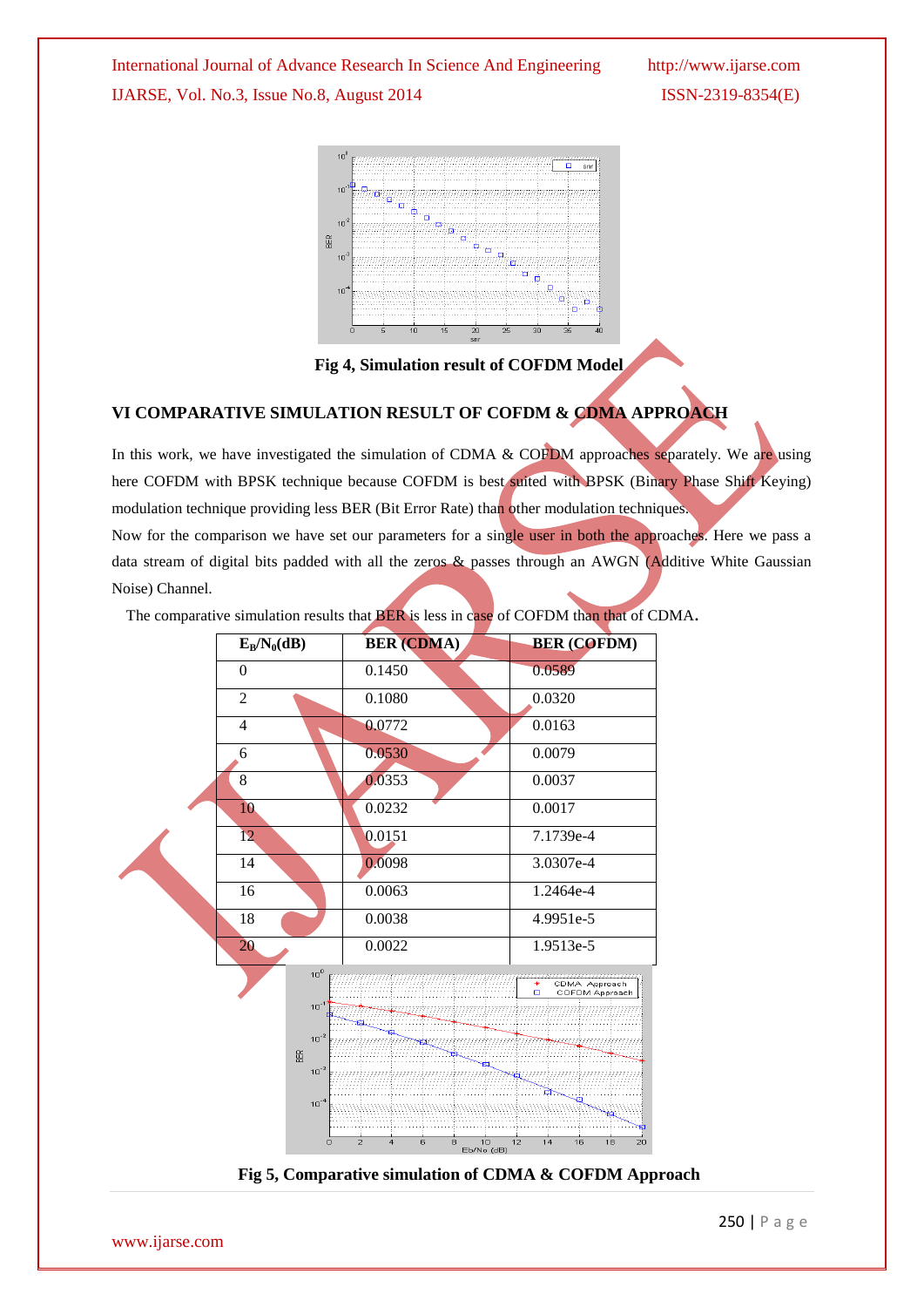International Journal of Advance Research In Science And Engineering http://www.ijarse.com IJARSE, Vol. No.3, Issue No.8, August 2014 ISSN-2319-8354(E)



**Fig 4, Simulation result of COFDM Model**

# **VI COMPARATIVE SIMULATION RESULT OF COFDM & CDMA APPROACH**

In this work, we have investigated the simulation of CDMA & COFDM approaches separately. We are using here COFDM with BPSK technique because COFDM is best suited with BPSK (Binary Phase Shift Keying) modulation technique providing less BER (Bit Error Rate) than other modulation techniques. Now for the comparison we have set our parameters for a single user in both the approaches. Here we pass a

data stream of digital bits padded with all the zeros & passes through an AWGN (Additive White Gaussian Noise) Channel.

The comparative simulation results that BER is less in case of COFDM than that of CDMA**.**



**Fig 5, Comparative simulation of CDMA & COFDM Approach**

www.ijarse.com

250 | P a g e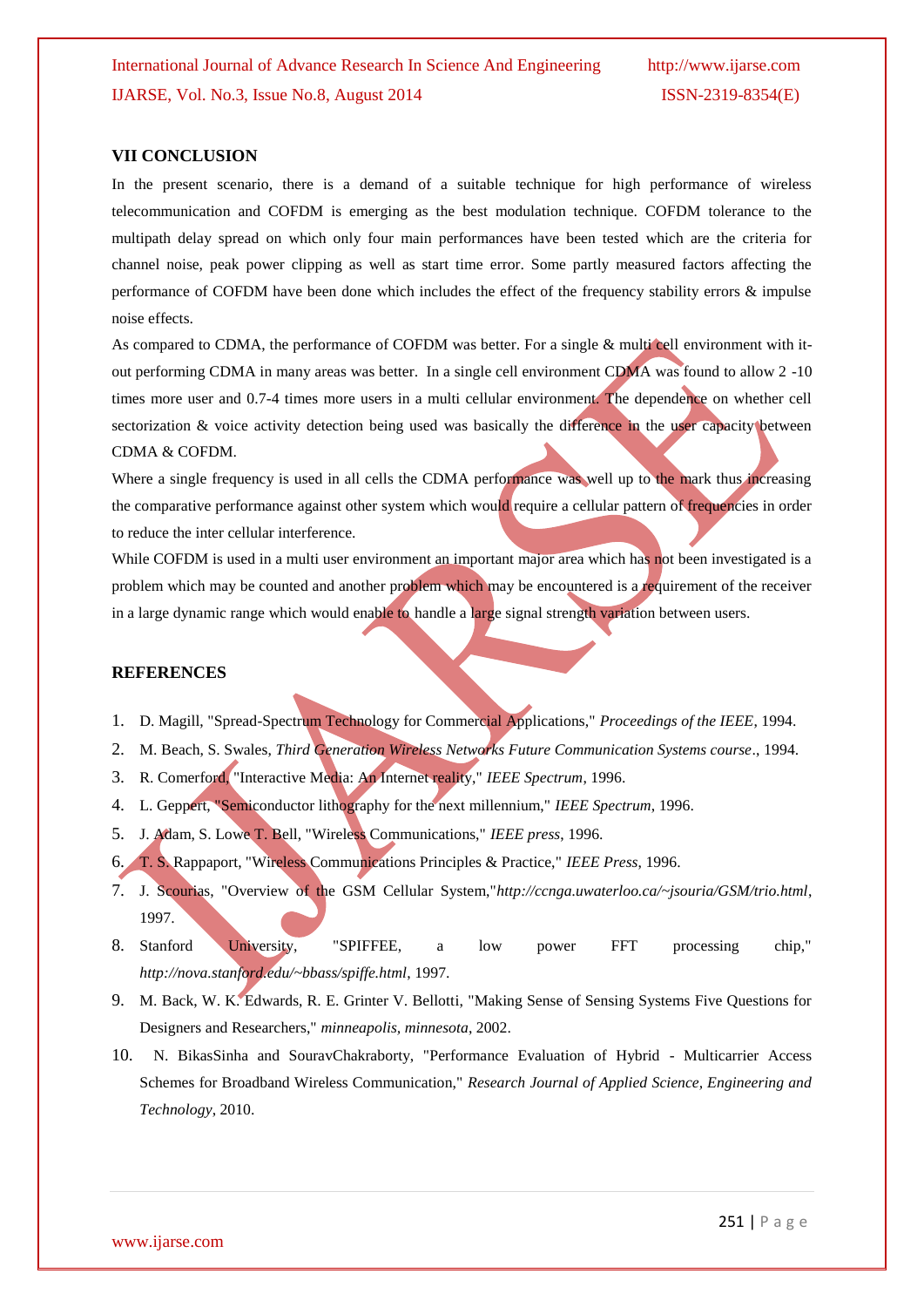#### **VII CONCLUSION**

In the present scenario, there is a demand of a suitable technique for high performance of wireless telecommunication and COFDM is emerging as the best modulation technique. COFDM tolerance to the multipath delay spread on which only four main performances have been tested which are the criteria for channel noise, peak power clipping as well as start time error. Some partly measured factors affecting the performance of COFDM have been done which includes the effect of the frequency stability errors & impulse noise effects.

As compared to CDMA, the performance of COFDM was better. For a single & multi cell environment with itout performing CDMA in many areas was better. In a single cell environment CDMA was found to allow 2 -10 times more user and 0.7-4 times more users in a multi cellular environment. The dependence on whether cell sectorization & voice activity detection being used was basically the difference in the user capacity between CDMA & COFDM.

Where a single frequency is used in all cells the CDMA performance was well up to the mark thus increasing the comparative performance against other system which would require a cellular pattern of frequencies in order to reduce the inter cellular interference.

While COFDM is used in a multi user environment an important major area which has not been investigated is a problem which may be counted and another problem which may be encountered is a requirement of the receiver in a large dynamic range which would enable to handle a large signal strength variation between users.

#### **REFERENCES**

- 1. D. Magill, "Spread-Spectrum Technology for Commercial Applications," *Proceedings of the IEEE*, 1994.
- 2. M. Beach, S. Swales, *Third Generation Wireless Networks Future Communication Systems course*., 1994.
- 3. R. Comerford, "Interactive Media: An Internet reality," *IEEE Spectrum*, 1996.
- 4. L. Geppert, "Semiconductor lithography for the next millennium," *IEEE Spectrum*, 1996.
- 5. J. Adam, S. Lowe T. Bell, "Wireless Communications," *IEEE press*, 1996.
- 6. T. S. Rappaport, "Wireless Communications Principles & Practice," *IEEE Press*, 1996.
- 7. J. Scourias, "Overview of the GSM Cellular System,"*http://ccnga.uwaterloo.ca/~jsouria/GSM/trio.html*, 1997.
- 8. Stanford University, "SPIFFEE, a low power FFT processing chip," *http://nova.stanford.edu/~bbass/spiffe.html*, 1997.
- 9. M. Back, W. K. Edwards, R. E. Grinter V. Bellotti, "Making Sense of Sensing Systems Five Questions for Designers and Researchers," *minneapolis, minnesota*, 2002.
- 10. N. BikasSinha and SouravChakraborty, "Performance Evaluation of Hybrid Multicarrier Access Schemes for Broadband Wireless Communication," *Research Journal of Applied Science, Engineering and Technology*, 2010.